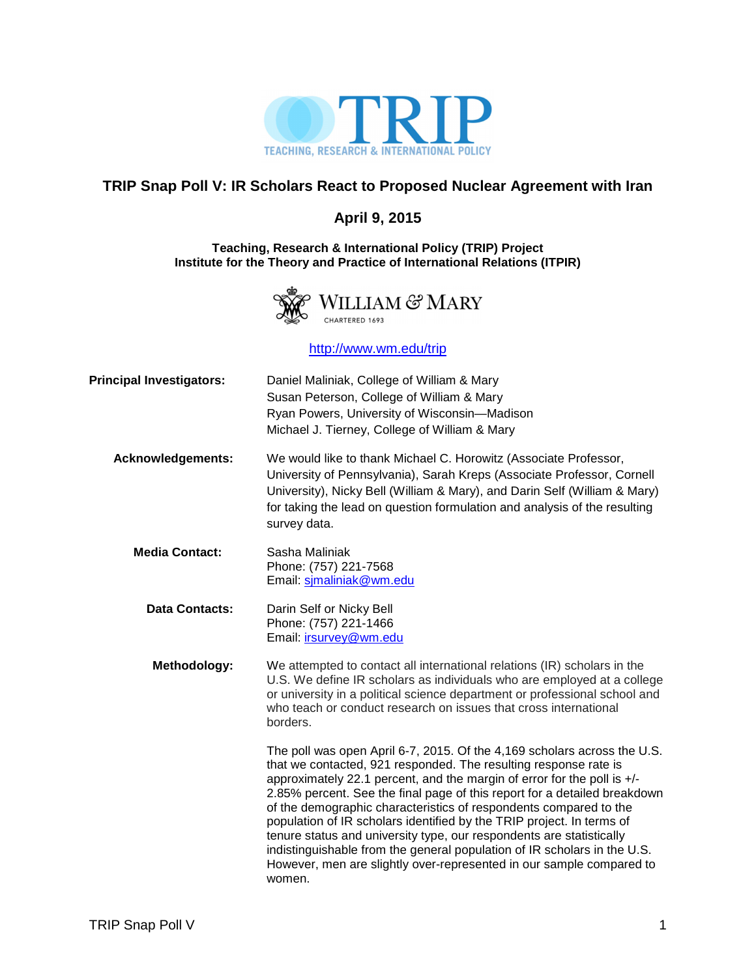

### **TRIP Snap Poll V: IR Scholars React to Proposed Nuclear Agreement with Iran**

### **April 9, 2015**

#### **Teaching, Research & International Policy (TRIP) Project Institute for the Theory and Practice of International Relations (ITPIR)**



http://www.wm.edu/trip

| <b>Principal Investigators:</b> | Daniel Maliniak, College of William & Mary<br>Susan Peterson, College of William & Mary<br>Ryan Powers, University of Wisconsin-Madison<br>Michael J. Tierney, College of William & Mary                                                                                                                                                                                                                                                                                                                                                                                                                                                                                                 |
|---------------------------------|------------------------------------------------------------------------------------------------------------------------------------------------------------------------------------------------------------------------------------------------------------------------------------------------------------------------------------------------------------------------------------------------------------------------------------------------------------------------------------------------------------------------------------------------------------------------------------------------------------------------------------------------------------------------------------------|
| <b>Acknowledgements:</b>        | We would like to thank Michael C. Horowitz (Associate Professor,<br>University of Pennsylvania), Sarah Kreps (Associate Professor, Cornell<br>University), Nicky Bell (William & Mary), and Darin Self (William & Mary)<br>for taking the lead on question formulation and analysis of the resulting<br>survey data.                                                                                                                                                                                                                                                                                                                                                                     |
| <b>Media Contact:</b>           | Sasha Maliniak<br>Phone: (757) 221-7568<br>Email: simaliniak@wm.edu                                                                                                                                                                                                                                                                                                                                                                                                                                                                                                                                                                                                                      |
| <b>Data Contacts:</b>           | Darin Self or Nicky Bell<br>Phone: (757) 221-1466<br>Email: irsurvey@wm.edu                                                                                                                                                                                                                                                                                                                                                                                                                                                                                                                                                                                                              |
| Methodology:                    | We attempted to contact all international relations (IR) scholars in the<br>U.S. We define IR scholars as individuals who are employed at a college<br>or university in a political science department or professional school and<br>who teach or conduct research on issues that cross international<br>borders.                                                                                                                                                                                                                                                                                                                                                                        |
|                                 | The poll was open April 6-7, 2015. Of the 4,169 scholars across the U.S.<br>that we contacted, 921 responded. The resulting response rate is<br>approximately 22.1 percent, and the margin of error for the poll is +/-<br>2.85% percent. See the final page of this report for a detailed breakdown<br>of the demographic characteristics of respondents compared to the<br>population of IR scholars identified by the TRIP project. In terms of<br>tenure status and university type, our respondents are statistically<br>indistinguishable from the general population of IR scholars in the U.S.<br>However, men are slightly over-represented in our sample compared to<br>women. |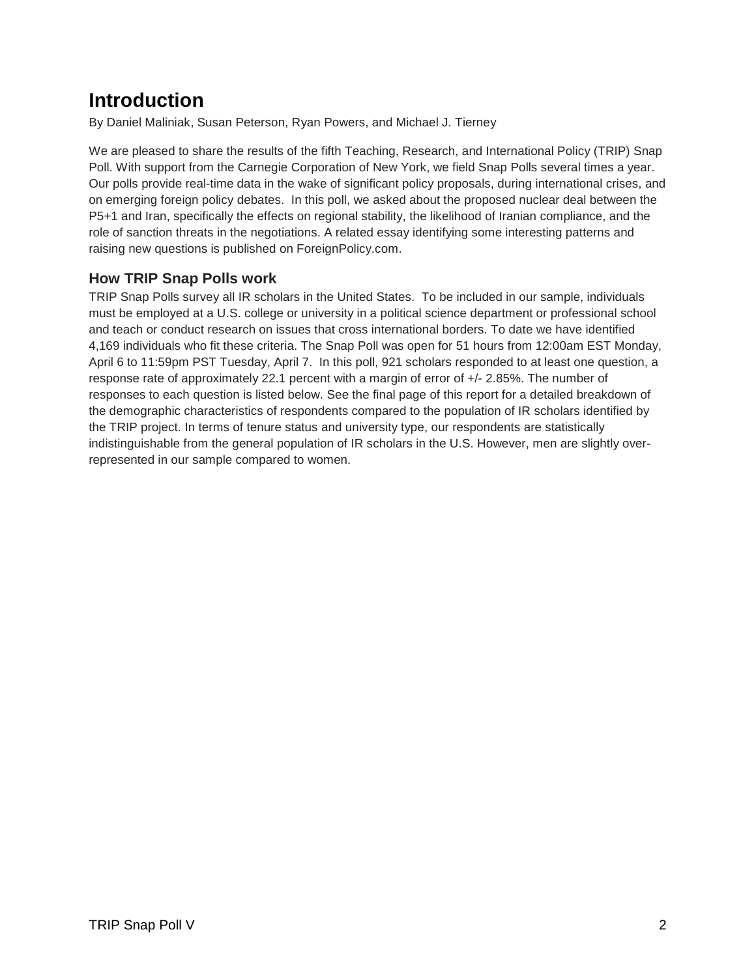## **Introduction**

By Daniel Maliniak, Susan Peterson, Ryan Powers, and Michael J. Tierney

We are pleased to share the results of the fifth Teaching, Research, and International Policy (TRIP) Snap Poll. With support from the Carnegie Corporation of New York, we field Snap Polls several times a year. Our polls provide real-time data in the wake of significant policy proposals, during international crises, and on emerging foreign policy debates. In this poll, we asked about the proposed nuclear deal between the P5+1 and Iran, specifically the effects on regional stability, the likelihood of Iranian compliance, and the role of sanction threats in the negotiations. A related essay identifying some interesting patterns and raising new questions is published on ForeignPolicy.com.

### **How TRIP Snap Polls work**

TRIP Snap Polls survey all IR scholars in the United States. To be included in our sample, individuals must be employed at a U.S. college or university in a political science department or professional school and teach or conduct research on issues that cross international borders. To date we have identified 4,169 individuals who fit these criteria. The Snap Poll was open for 51 hours from 12:00am EST Monday, April 6 to 11:59pm PST Tuesday, April 7. In this poll, 921 scholars responded to at least one question, a response rate of approximately 22.1 percent with a margin of error of +/- 2.85%. The number of responses to each question is listed below. See the final page of this report for a detailed breakdown of the demographic characteristics of respondents compared to the population of IR scholars identified by the TRIP project. In terms of tenure status and university type, our respondents are statistically indistinguishable from the general population of IR scholars in the U.S. However, men are slightly overrepresented in our sample compared to women.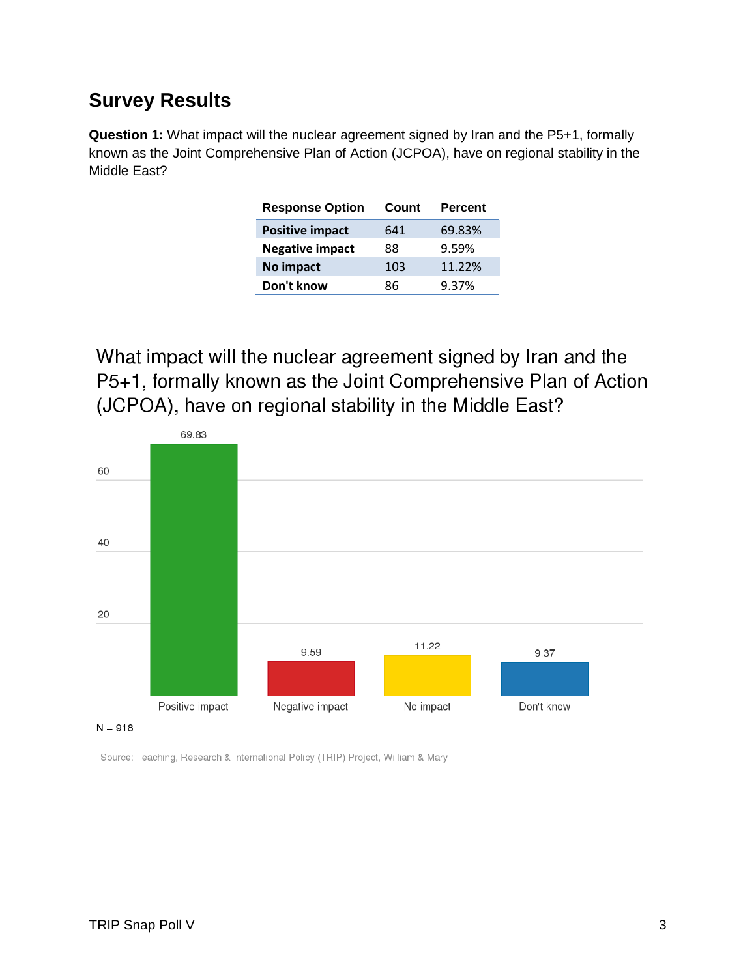### **Survey Results**

**Question 1:** What impact will the nuclear agreement signed by Iran and the P5+1, formally known as the Joint Comprehensive Plan of Action (JCPOA), have on regional stability in the Middle East?

| <b>Response Option</b> | Count | <b>Percent</b> |
|------------------------|-------|----------------|
| <b>Positive impact</b> | 641   | 69.83%         |
| <b>Negative impact</b> | 88    | 9.59%          |
| No impact              | 103   | 11.22%         |
| Don't know             | 86    | 9.37%          |

What impact will the nuclear agreement signed by Iran and the P5+1, formally known as the Joint Comprehensive Plan of Action (JCPOA), have on regional stability in the Middle East?



 $N = 918$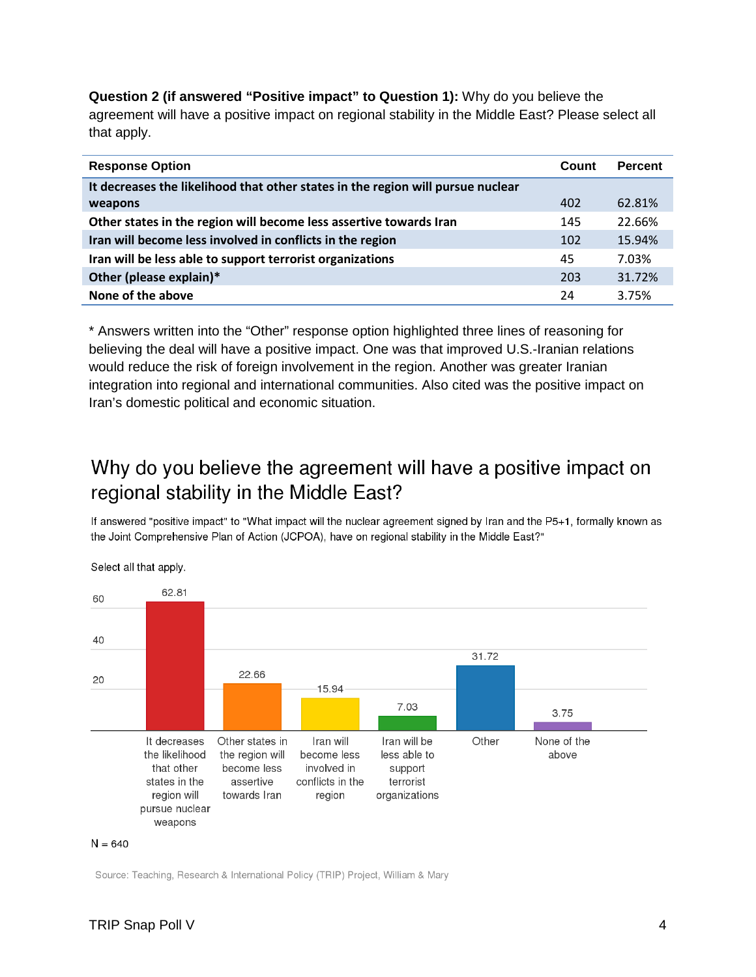**Question 2 (if answered "Positive impact" to Question 1):** Why do you believe the agreement will have a positive impact on regional stability in the Middle East? Please select all that apply.

| <b>Response Option</b>                                                          | Count | <b>Percent</b> |
|---------------------------------------------------------------------------------|-------|----------------|
| It decreases the likelihood that other states in the region will pursue nuclear |       |                |
| weapons                                                                         | 402   | 62.81%         |
| Other states in the region will become less assertive towards Iran              | 145   | 22.66%         |
| Iran will become less involved in conflicts in the region                       | 102   | 15.94%         |
| Iran will be less able to support terrorist organizations                       | 45    | 7.03%          |
| Other (please explain)*                                                         | 203   | 31.72%         |
| None of the above                                                               | 24    | 3.75%          |

\* Answers written into the "Other" response option highlighted three lines of reasoning for believing the deal will have a positive impact. One was that improved U.S.-Iranian relations would reduce the risk of foreign involvement in the region. Another was greater Iranian integration into regional and international communities. Also cited was the positive impact on Iran's domestic political and economic situation.

## Why do you believe the agreement will have a positive impact on regional stability in the Middle East?

If answered "positive impact" to "What impact will the nuclear agreement signed by Iran and the P5+1, formally known as the Joint Comprehensive Plan of Action (JCPOA), have on regional stability in the Middle East?"



Select all that apply.

#### $N = 640$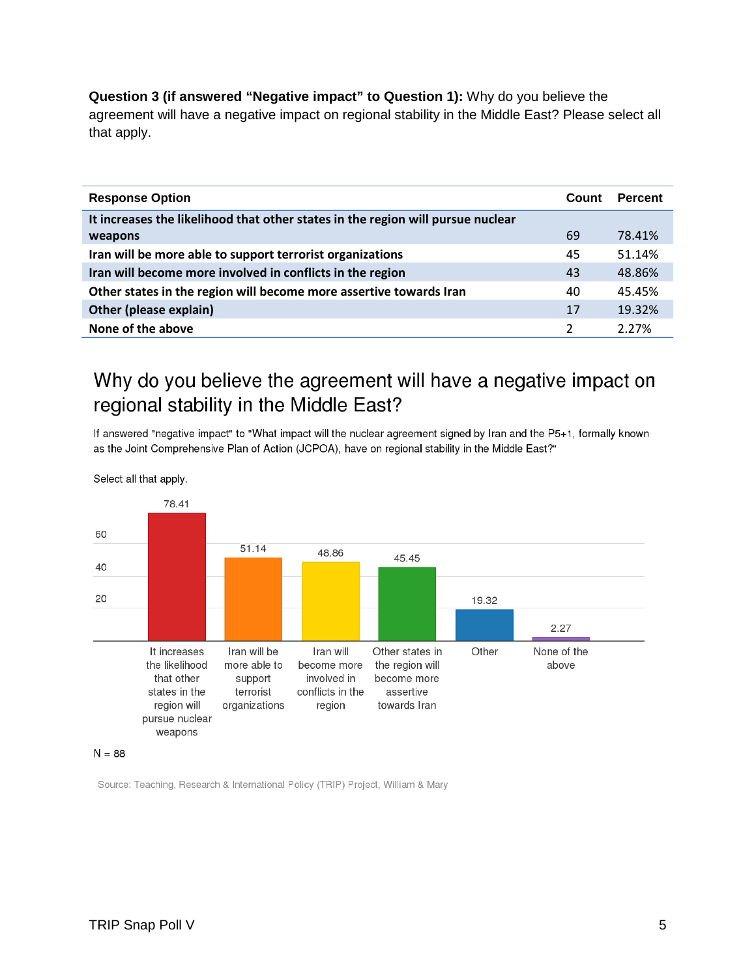**Question 3 (if answered "Negative impact" to Question 1):** Why do you believe the agreement will have a negative impact on regional stability in the Middle East? Please select all that apply.

| <b>Response Option</b>                                                          | Count          | <b>Percent</b> |
|---------------------------------------------------------------------------------|----------------|----------------|
| It increases the likelihood that other states in the region will pursue nuclear |                |                |
| weapons                                                                         | 69             | 78.41%         |
| Iran will be more able to support terrorist organizations                       | 45             | 51.14%         |
| Iran will become more involved in conflicts in the region                       | 43             | 48.86%         |
| Other states in the region will become more assertive towards Iran              | 40             | 45.45%         |
| Other (please explain)                                                          | 17             | 19.32%         |
| None of the above                                                               | $\overline{2}$ | 2.27%          |

## Why do you believe the agreement will have a negative impact on regional stability in the Middle East?

If answered "negative impact" to "What impact will the nuclear agreement signed by Iran and the P5+1, formally known as the Joint Comprehensive Plan of Action (JCPOA), have on regional stability in the Middle East?"

78.41 60 51.14 48.86 45.45 40 20 19.32  $2.27$ It increases Iran will be Iran will Other states in Other None of the the likelihood more able to become more the region will above that other involved in become more support states in the terrorist conflicts in the assertive region will organizations region towards Iran pursue nuclear weapons

Select all that apply.

#### $N = 88$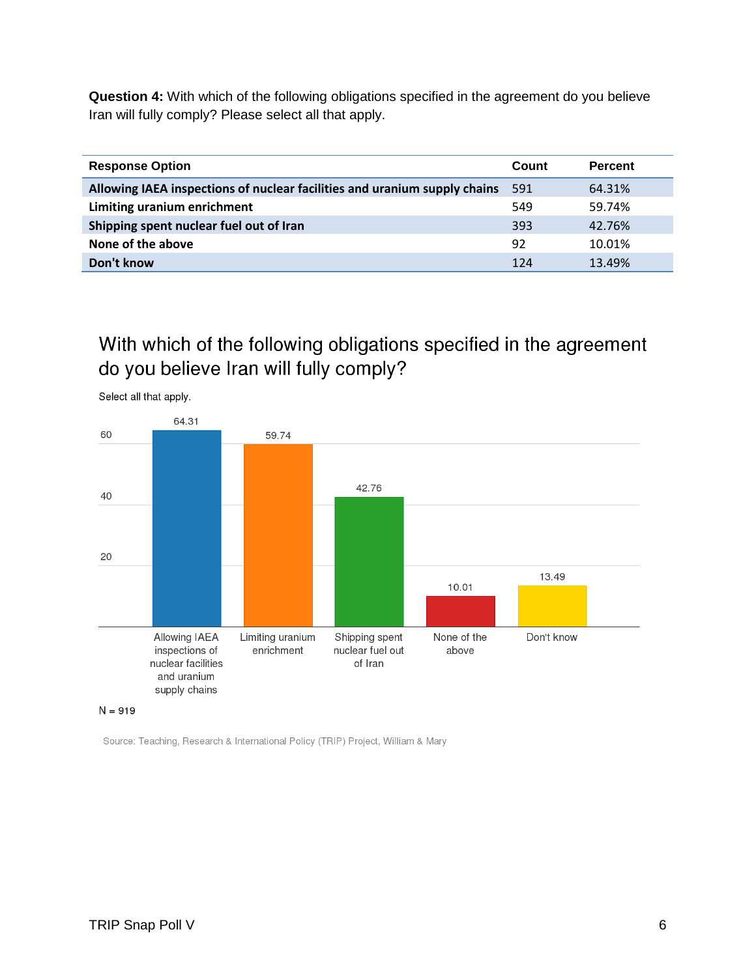**Question 4:** With which of the following obligations specified in the agreement do you believe Iran will fully comply? Please select all that apply.

| <b>Response Option</b>                                                    | Count | <b>Percent</b> |
|---------------------------------------------------------------------------|-------|----------------|
| Allowing IAEA inspections of nuclear facilities and uranium supply chains | 591   | 64.31%         |
| Limiting uranium enrichment                                               | 549   | 59.74%         |
| Shipping spent nuclear fuel out of Iran                                   | 393   | 42.76%         |
| None of the above                                                         | 92    | 10.01%         |
| Don't know                                                                | 124   | 13.49%         |

## With which of the following obligations specified in the agreement do you believe Iran will fully comply?



Select all that apply.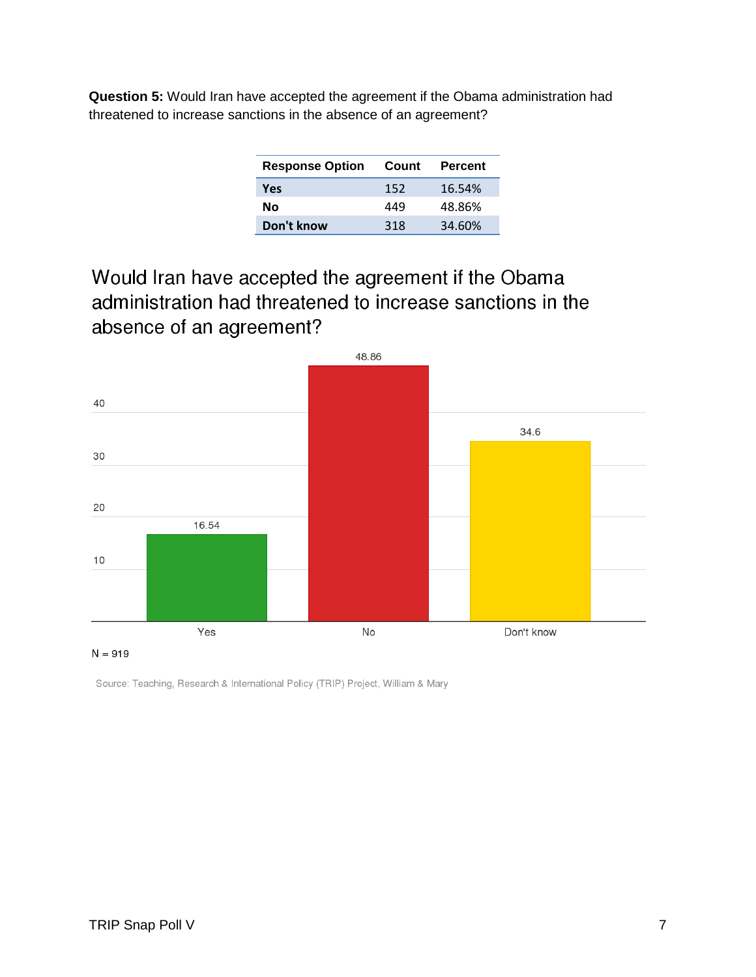**Question 5:** Would Iran have accepted the agreement if the Obama administration had threatened to increase sanctions in the absence of an agreement?

| <b>Response Option</b> | Count | Percent |
|------------------------|-------|---------|
| Yes                    | 152   | 16.54%  |
| Nο                     | 449   | 48.86%  |
| Don't know             | 318   | 34.60%  |

Would Iran have accepted the agreement if the Obama administration had threatened to increase sanctions in the absence of an agreement?



 $N = 919$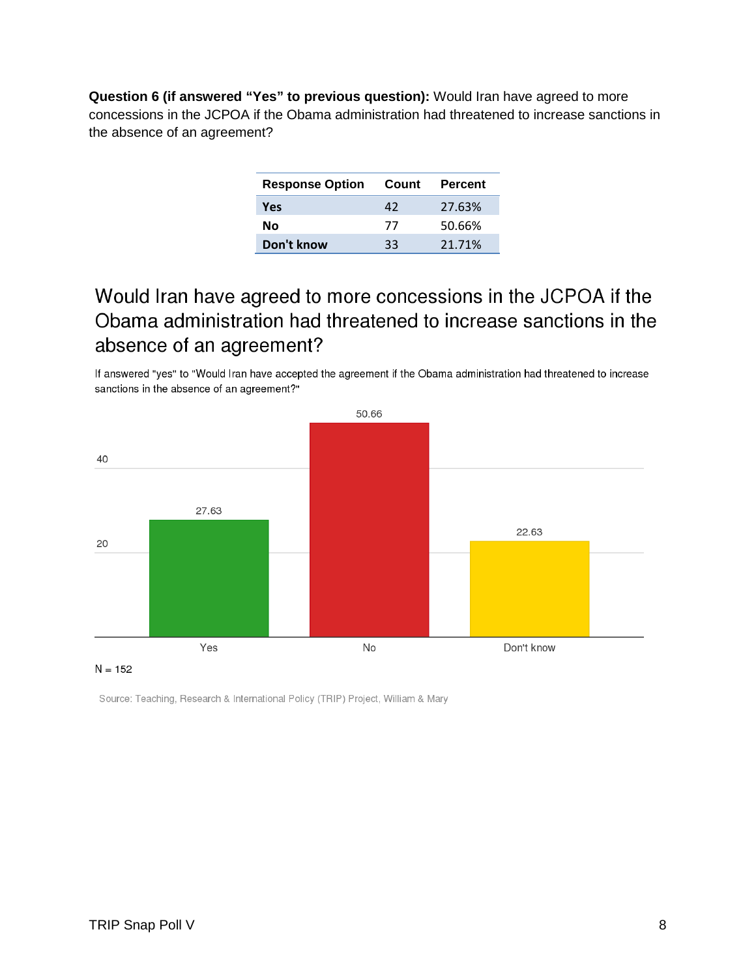**Question 6 (if answered "Yes" to previous question):** Would Iran have agreed to more concessions in the JCPOA if the Obama administration had threatened to increase sanctions in the absence of an agreement?

| <b>Response Option</b> | Count | Percent |
|------------------------|-------|---------|
| <b>Yes</b>             | 42    | 27.63%  |
| Nο                     | 77    | 50.66%  |
| Don't know             | 33    | 21.71%  |

## Would Iran have agreed to more concessions in the JCPOA if the Obama administration had threatened to increase sanctions in the absence of an agreement?

If answered "yes" to "Would Iran have accepted the agreement if the Obama administration had threatened to increase sanctions in the absence of an agreement?"



#### $N = 152$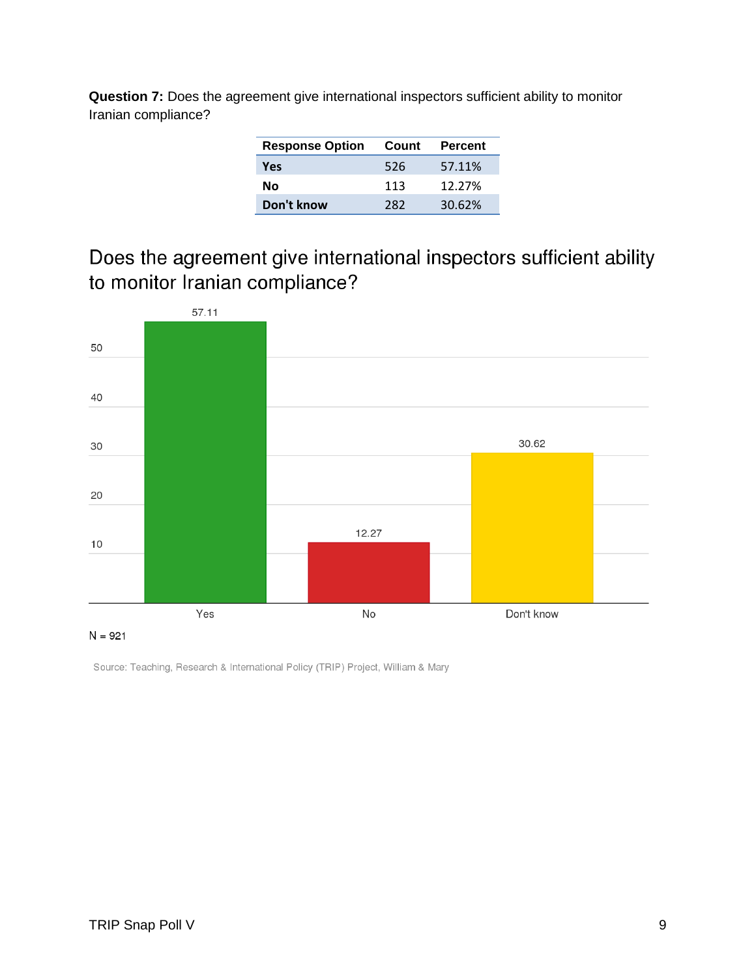**Question 7:** Does the agreement give international inspectors sufficient ability to monitor Iranian compliance?

| <b>Response Option</b> | Count | Percent |
|------------------------|-------|---------|
| Yes                    | 526   | 57.11%  |
| Nο                     | 113   | 12.27%  |
| Don't know             | 282   | 30.62%  |

Does the agreement give international inspectors sufficient ability to monitor Iranian compliance?



 $N = 921$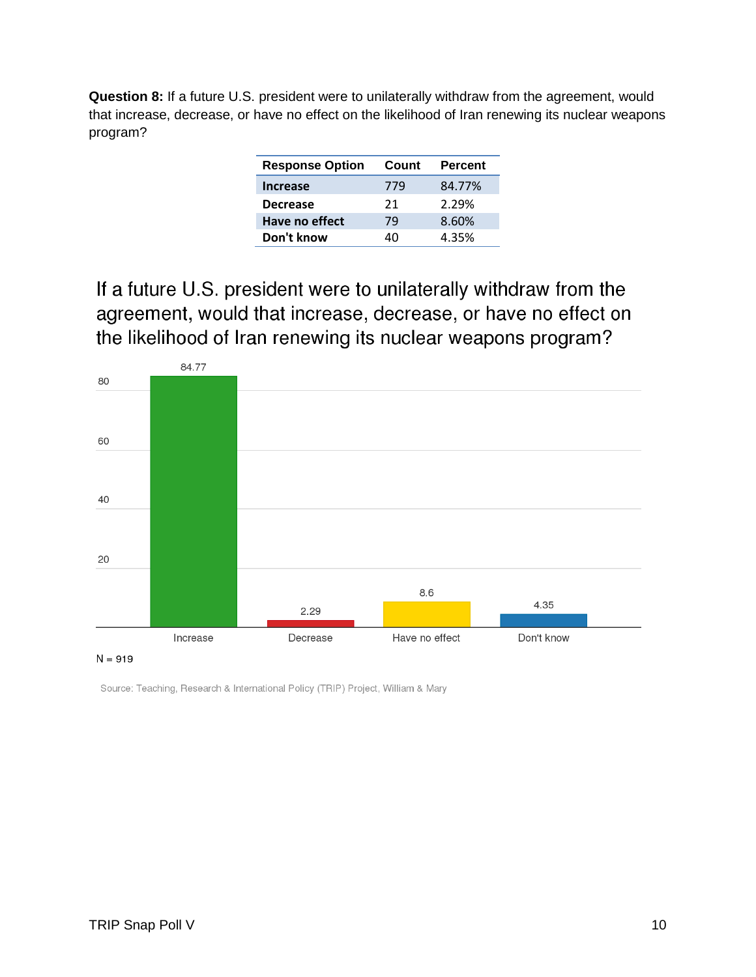**Question 8:** If a future U.S. president were to unilaterally withdraw from the agreement, would that increase, decrease, or have no effect on the likelihood of Iran renewing its nuclear weapons program?

| <b>Response Option</b> | Count | <b>Percent</b> |
|------------------------|-------|----------------|
| <b>Increase</b>        | 779   | 84.77%         |
| <b>Decrease</b>        | 21    | 2.29%          |
| Have no effect         | 79    | 8.60%          |
| Don't know             | 40    | 4.35%          |

If a future U.S. president were to unilaterally withdraw from the agreement, would that increase, decrease, or have no effect on the likelihood of Iran renewing its nuclear weapons program?